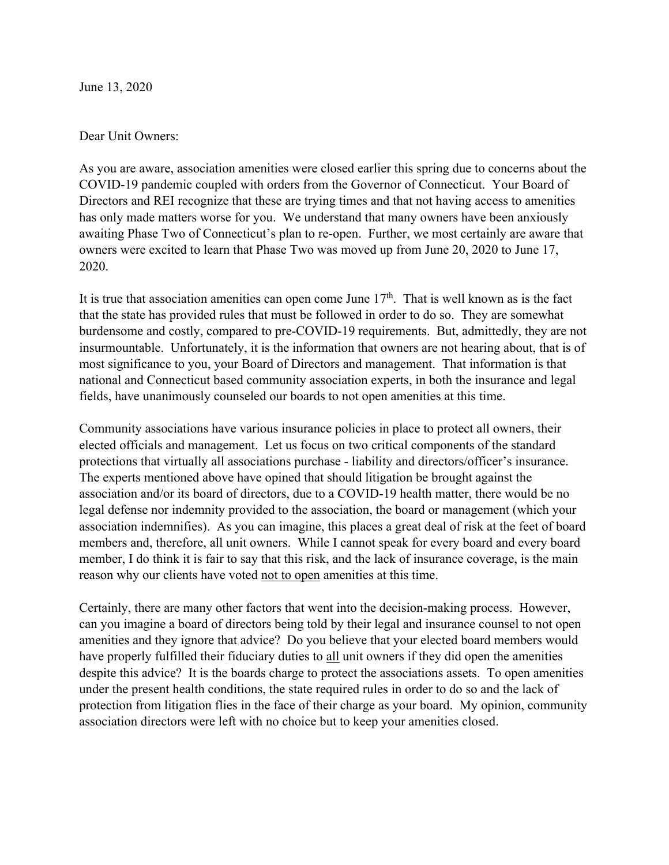June 13, 2020

#### Dear Unit Owners:

As you are aware, association amenities were closed earlier this spring due to concerns about the COVID-19 pandemic coupled with orders from the Governor of Connecticut. Your Board of Directors and REI recognize that these are trying times and that not having access to amenities has only made matters worse for you. We understand that many owners have been anxiously awaiting Phase Two of Connecticut's plan to re-open. Further, we most certainly are aware that owners were excited to learn that Phase Two was moved up from June 20, 2020 to June 17, 2020.

It is true that association amenities can open come June  $17<sup>th</sup>$ . That is well known as is the fact that the state has provided rules that must be followed in order to do so. They are somewhat burdensome and costly, compared to pre-COVID-19 requirements. But, admittedly, they are not insurmountable. Unfortunately, it is the information that owners are not hearing about, that is of most significance to you, your Board of Directors and management. That information is that national and Connecticut based community association experts, in both the insurance and legal fields, have unanimously counseled our boards to not open amenities at this time.

Community associations have various insurance policies in place to protect all owners, their elected officials and management. Let us focus on two critical components of the standard protections that virtually all associations purchase - liability and directors/officer's insurance. The experts mentioned above have opined that should litigation be brought against the association and/or its board of directors, due to a COVID-19 health matter, there would be no legal defense nor indemnity provided to the association, the board or management (which your association indemnifies). As you can imagine, this places a great deal of risk at the feet of board members and, therefore, all unit owners. While I cannot speak for every board and every board member, I do think it is fair to say that this risk, and the lack of insurance coverage, is the main reason why our clients have voted not to open amenities at this time.

Certainly, there are many other factors that went into the decision-making process. However, can you imagine a board of directors being told by their legal and insurance counsel to not open amenities and they ignore that advice? Do you believe that your elected board members would have properly fulfilled their fiduciary duties to all unit owners if they did open the amenities despite this advice? It is the boards charge to protect the associations assets. To open amenities under the present health conditions, the state required rules in order to do so and the lack of protection from litigation flies in the face of their charge as your board. My opinion, community association directors were left with no choice but to keep your amenities closed.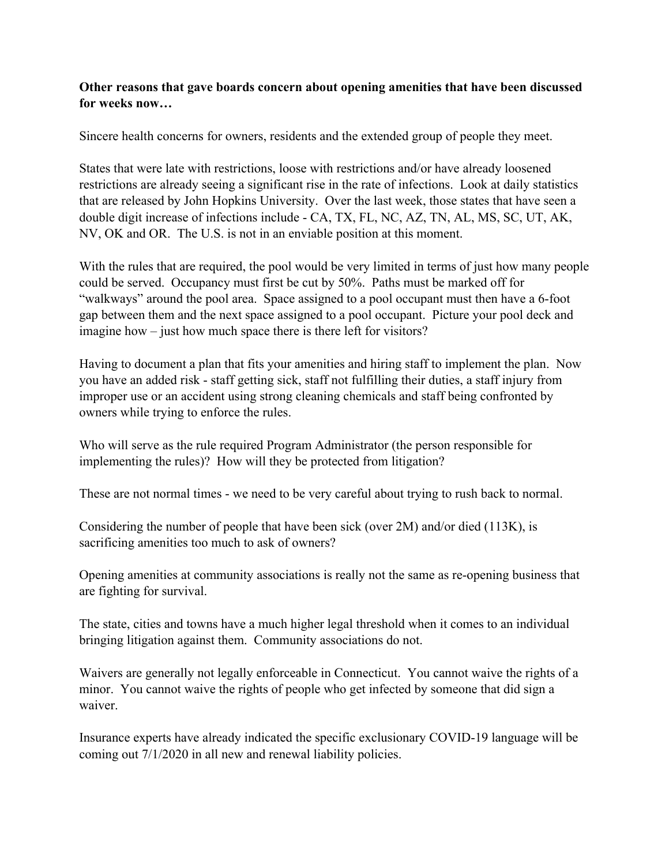## **Other reasons that gave boards concern about opening amenities that have been discussed for weeks now…**

Sincere health concerns for owners, residents and the extended group of people they meet.

States that were late with restrictions, loose with restrictions and/or have already loosened restrictions are already seeing a significant rise in the rate of infections. Look at daily statistics that are released by John Hopkins University. Over the last week, those states that have seen a double digit increase of infections include - CA, TX, FL, NC, AZ, TN, AL, MS, SC, UT, AK, NV, OK and OR. The U.S. is not in an enviable position at this moment.

With the rules that are required, the pool would be very limited in terms of just how many people could be served. Occupancy must first be cut by 50%. Paths must be marked off for "walkways" around the pool area. Space assigned to a pool occupant must then have a 6-foot gap between them and the next space assigned to a pool occupant. Picture your pool deck and imagine how – just how much space there is there left for visitors?

Having to document a plan that fits your amenities and hiring staff to implement the plan. Now you have an added risk - staff getting sick, staff not fulfilling their duties, a staff injury from improper use or an accident using strong cleaning chemicals and staff being confronted by owners while trying to enforce the rules.

Who will serve as the rule required Program Administrator (the person responsible for implementing the rules)? How will they be protected from litigation?

These are not normal times - we need to be very careful about trying to rush back to normal.

Considering the number of people that have been sick (over 2M) and/or died (113K), is sacrificing amenities too much to ask of owners?

Opening amenities at community associations is really not the same as re-opening business that are fighting for survival.

The state, cities and towns have a much higher legal threshold when it comes to an individual bringing litigation against them. Community associations do not.

Waivers are generally not legally enforceable in Connecticut. You cannot waive the rights of a minor. You cannot waive the rights of people who get infected by someone that did sign a waiver.

Insurance experts have already indicated the specific exclusionary COVID-19 language will be coming out 7/1/2020 in all new and renewal liability policies.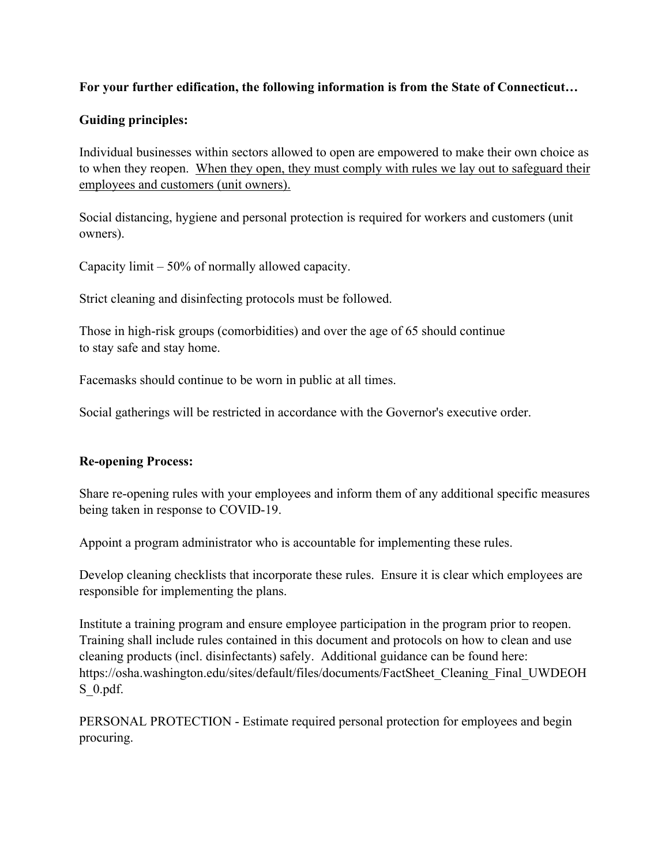#### **For your further edification, the following information is from the State of Connecticut…**

#### **Guiding principles:**

Individual businesses within sectors allowed to open are empowered to make their own choice as to when they reopen. When they open, they must comply with rules we lay out to safeguard their employees and customers (unit owners).

Social distancing, hygiene and personal protection is required for workers and customers (unit owners).

Capacity limit – 50% of normally allowed capacity.

Strict cleaning and disinfecting protocols must be followed.

Those in high-risk groups (comorbidities) and over the age of 65 should continue to stay safe and stay home.

Facemasks should continue to be worn in public at all times.

Social gatherings will be restricted in accordance with the Governor's executive order.

#### **Re-opening Process:**

Share re-opening rules with your employees and inform them of any additional specific measures being taken in response to COVID-19.

Appoint a program administrator who is accountable for implementing these rules.

Develop cleaning checklists that incorporate these rules. Ensure it is clear which employees are responsible for implementing the plans.

Institute a training program and ensure employee participation in the program prior to reopen. Training shall include rules contained in this document and protocols on how to clean and use cleaning products (incl. disinfectants) safely. Additional guidance can be found here: https://osha.washington.edu/sites/default/files/documents/FactSheet\_Cleaning\_Final\_UWDEOH S\_0.pdf.

PERSONAL PROTECTION - Estimate required personal protection for employees and begin procuring.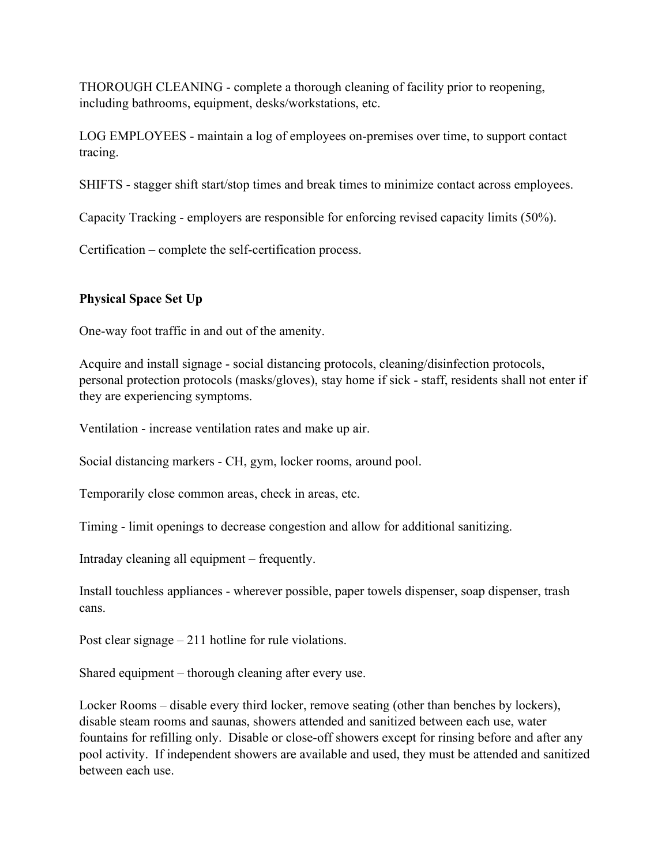THOROUGH CLEANING - complete a thorough cleaning of facility prior to reopening, including bathrooms, equipment, desks/workstations, etc.

LOG EMPLOYEES - maintain a log of employees on-premises over time, to support contact tracing.

SHIFTS - stagger shift start/stop times and break times to minimize contact across employees.

Capacity Tracking - employers are responsible for enforcing revised capacity limits (50%).

Certification – complete the self-certification process.

#### **Physical Space Set Up**

One-way foot traffic in and out of the amenity.

Acquire and install signage - social distancing protocols, cleaning/disinfection protocols, personal protection protocols (masks/gloves), stay home if sick - staff, residents shall not enter if they are experiencing symptoms.

Ventilation - increase ventilation rates and make up air.

Social distancing markers - CH, gym, locker rooms, around pool.

Temporarily close common areas, check in areas, etc.

Timing - limit openings to decrease congestion and allow for additional sanitizing.

Intraday cleaning all equipment – frequently.

Install touchless appliances - wherever possible, paper towels dispenser, soap dispenser, trash cans.

Post clear signage – 211 hotline for rule violations.

Shared equipment – thorough cleaning after every use.

Locker Rooms – disable every third locker, remove seating (other than benches by lockers), disable steam rooms and saunas, showers attended and sanitized between each use, water fountains for refilling only. Disable or close-off showers except for rinsing before and after any pool activity. If independent showers are available and used, they must be attended and sanitized between each use.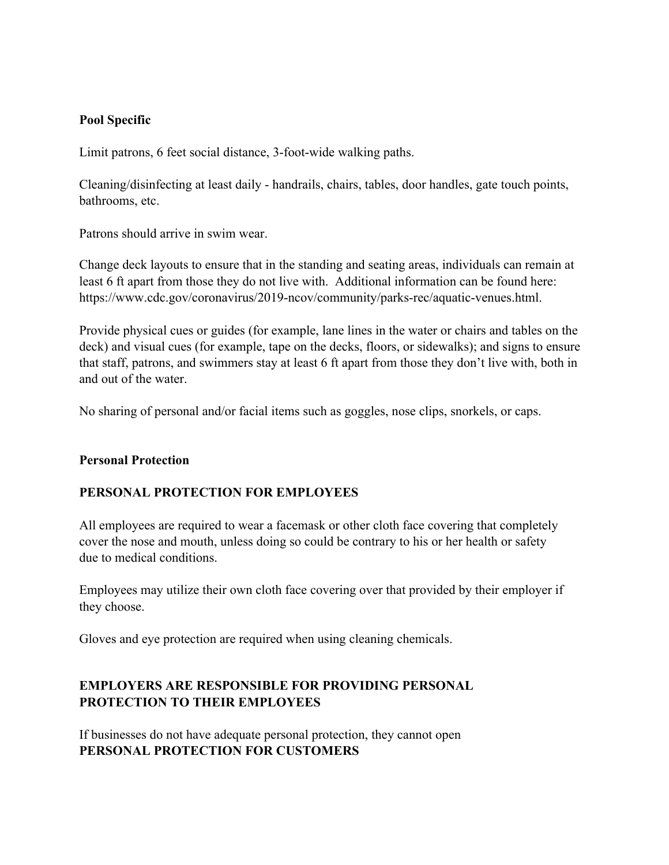#### **Pool Specific**

Limit patrons, 6 feet social distance, 3-foot-wide walking paths.

Cleaning/disinfecting at least daily - handrails, chairs, tables, door handles, gate touch points, bathrooms, etc.

Patrons should arrive in swim wear.

Change deck layouts to ensure that in the standing and seating areas, individuals can remain at least 6 ft apart from those they do not live with. Additional information can be found here: https://www.cdc.gov/coronavirus/2019-ncov/community/parks-rec/aquatic-venues.html.

Provide physical cues or guides (for example, lane lines in the water or chairs and tables on the deck) and visual cues (for example, tape on the decks, floors, or sidewalks); and signs to ensure that staff, patrons, and swimmers stay at least 6 ft apart from those they don't live with, both in and out of the water.

No sharing of personal and/or facial items such as goggles, nose clips, snorkels, or caps.

#### **Personal Protection**

#### **PERSONAL PROTECTION FOR EMPLOYEES**

All employees are required to wear a facemask or other cloth face covering that completely cover the nose and mouth, unless doing so could be contrary to his or her health or safety due to medical conditions.

Employees may utilize their own cloth face covering over that provided by their employer if they choose.

Gloves and eye protection are required when using cleaning chemicals.

# **EMPLOYERS ARE RESPONSIBLE FOR PROVIDING PERSONAL PROTECTION TO THEIR EMPLOYEES**

If businesses do not have adequate personal protection, they cannot open **PERSONAL PROTECTION FOR CUSTOMERS**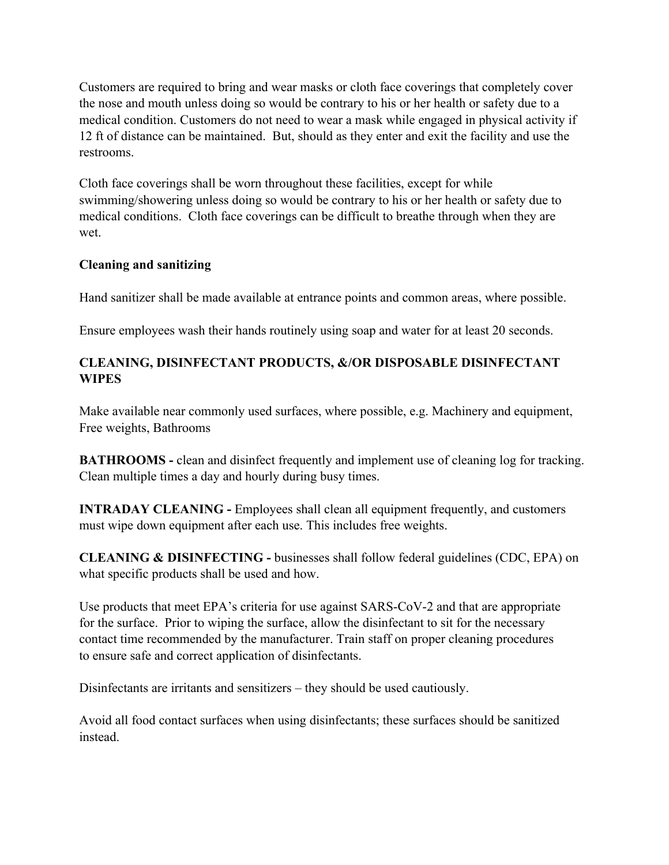Customers are required to bring and wear masks or cloth face coverings that completely cover the nose and mouth unless doing so would be contrary to his or her health or safety due to a medical condition. Customers do not need to wear a mask while engaged in physical activity if 12 ft of distance can be maintained. But, should as they enter and exit the facility and use the restrooms.

Cloth face coverings shall be worn throughout these facilities, except for while swimming/showering unless doing so would be contrary to his or her health or safety due to medical conditions. Cloth face coverings can be difficult to breathe through when they are wet.

## **Cleaning and sanitizing**

Hand sanitizer shall be made available at entrance points and common areas, where possible.

Ensure employees wash their hands routinely using soap and water for at least 20 seconds.

# **CLEANING, DISINFECTANT PRODUCTS, &/OR DISPOSABLE DISINFECTANT WIPES**

Make available near commonly used surfaces, where possible, e.g. Machinery and equipment, Free weights, Bathrooms

**BATHROOMS** - clean and disinfect frequently and implement use of cleaning log for tracking. Clean multiple times a day and hourly during busy times.

**INTRADAY CLEANING -** Employees shall clean all equipment frequently, and customers must wipe down equipment after each use. This includes free weights.

**CLEANING & DISINFECTING -** businesses shall follow federal guidelines (CDC, EPA) on what specific products shall be used and how.

Use products that meet EPA's criteria for use against SARS-CoV-2 and that are appropriate for the surface. Prior to wiping the surface, allow the disinfectant to sit for the necessary contact time recommended by the manufacturer. Train staff on proper cleaning procedures to ensure safe and correct application of disinfectants.

Disinfectants are irritants and sensitizers – they should be used cautiously.

Avoid all food contact surfaces when using disinfectants; these surfaces should be sanitized instead.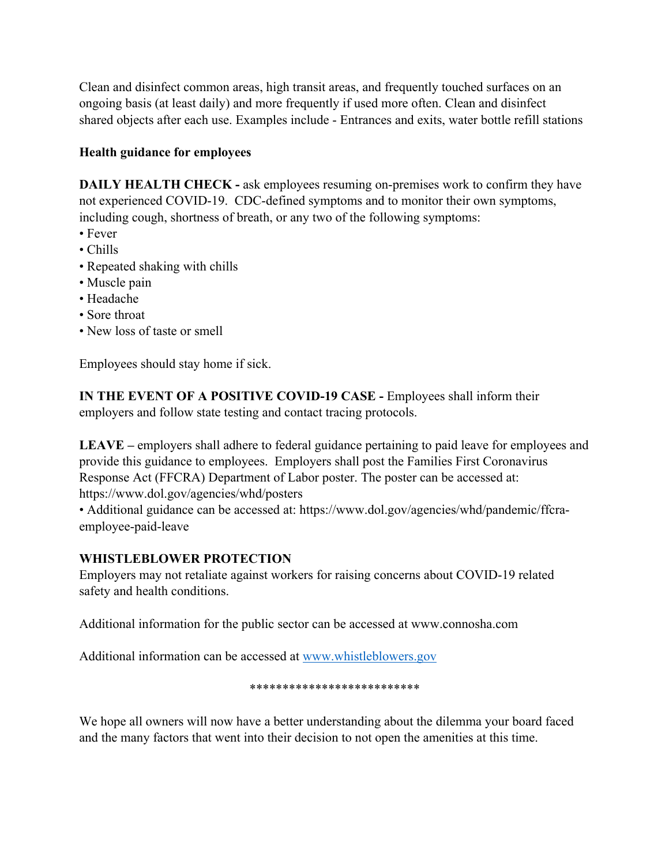Clean and disinfect common areas, high transit areas, and frequently touched surfaces on an ongoing basis (at least daily) and more frequently if used more often. Clean and disinfect shared objects after each use. Examples include - Entrances and exits, water bottle refill stations

## **Health guidance for employees**

**DAILY HEALTH CHECK -** ask employees resuming on-premises work to confirm they have not experienced COVID-19. CDC-defined symptoms and to monitor their own symptoms, including cough, shortness of breath, or any two of the following symptoms:

- Fever
- Chills
- Repeated shaking with chills
- Muscle pain
- Headache
- Sore throat
- New loss of taste or smell

Employees should stay home if sick.

**IN THE EVENT OF A POSITIVE COVID-19 CASE -** Employees shall inform their employers and follow state testing and contact tracing protocols.

**LEAVE –** employers shall adhere to federal guidance pertaining to paid leave for employees and provide this guidance to employees. Employers shall post the Families First Coronavirus Response Act (FFCRA) Department of Labor poster. The poster can be accessed at: https://www.dol.gov/agencies/whd/posters

• Additional guidance can be accessed at: https://www.dol.gov/agencies/whd/pandemic/ffcraemployee-paid-leave

# **WHISTLEBLOWER PROTECTION**

Employers may not retaliate against workers for raising concerns about COVID-19 related safety and health conditions.

Additional information for the public sector can be accessed at www.connosha.com

Additional information can be accessed at www.whistleblowers.gov

#### \*\*\*\*\*\*\*\*\*\*\*\*\*\*\*\*\*\*\*\*\*\*\*\*\*\*

We hope all owners will now have a better understanding about the dilemma your board faced and the many factors that went into their decision to not open the amenities at this time.